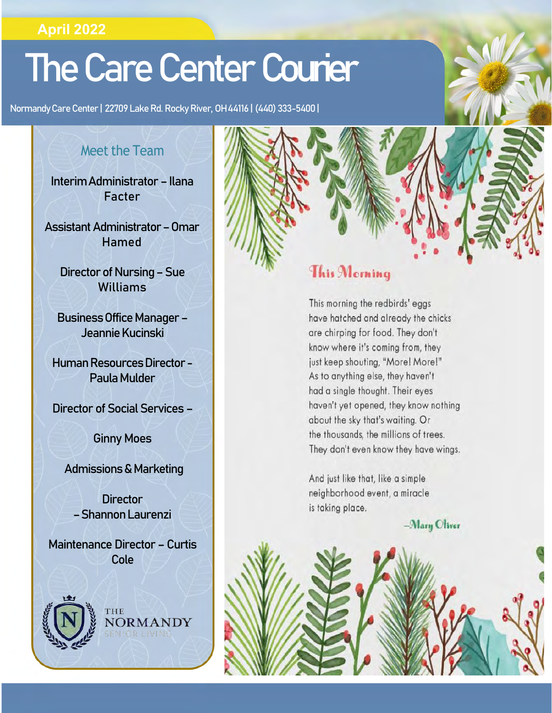### **April 2022**

# The Care Center Courier

Normandy Care Center | 22709 Lake Rd. Rocky River, OH 44116 | (440) 333-5400 |

### Meet the Team

InterimAdministrator – Ilana Facter

Assistant Administrator – Omar Hamed

Director of Nursing – Sue Williams

Business Office Manager – Jeannie Kucinski

Human Resources Director -PaulaMulder

Director of Social Services –

Ginny Moes

Admissions & Marketing

**Director** –ShannonLaurenzi

Maintenance Director – Curtis Cole

NORMANDY



### **This Morning**

This morning the redbirds' eggs have hatched and already the chicks are chirping for food. They don't know where it's coming from, they just keep shouting, "More! More!" As to anything else, they haven't had a single thought. Their eyes haven't yet opened, they know nothing about the sky that's waiting. Or the thousands, the millions of trees. They don't even know they have wings.

And just like that, like a simple neighborhood event, a miracle is taking place.

-Mary Oliver

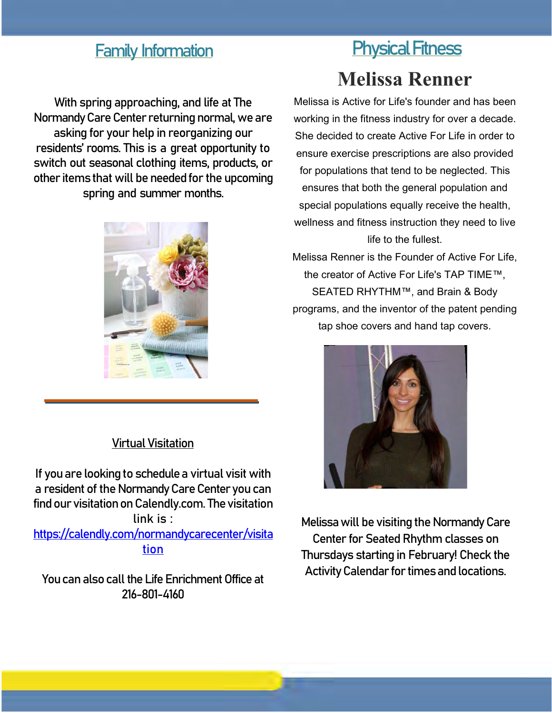### **Family Information**

With spring approaching, and life at The Normandy Care Center returning normal, we are asking for your help in reorganizing our residents' rooms. This is a great opportunity to switch out seasonal clothing items, products, or other items that will be needed for the upcoming spring and summer months.



### **Virtual Visitation**

If you are looking to schedule a virtual visit with a resident of the Normandy Care Center you can find our visitation on Calendly.com. The visitation link is :

[https://calendly.com/normandycarecenter/visita](https://calendly.com/normandycarecenter/visitation) [tion](https://calendly.com/normandycarecenter/visitation)

Youcanalsocall the Life Enrichment Office at 216-801-4160

## **Physical Fitness**

# **Melissa Renner**

Melissa is Active for Life's founder and has been working in the fitness industry for over a decade. She decided to create Active For Life in order to ensure exercise prescriptions are also provided for populations that tend to be neglected. This ensures that both the general population and special populations equally receive the health, wellness and fitness instruction they need to live life to the fullest.

Melissa Renner is the Founder of Active For Life, the creator of Active For Life's TAP TIME™, SEATED RHYTHM™, and Brain & Body programs, and the inventor of the patent pending tap shoe covers and hand tap covers.



Melissa will be visiting the Normandy Care Center for Seated Rhythm classes on Thursdays starting in February! Check the Activity Calendar for times and locations.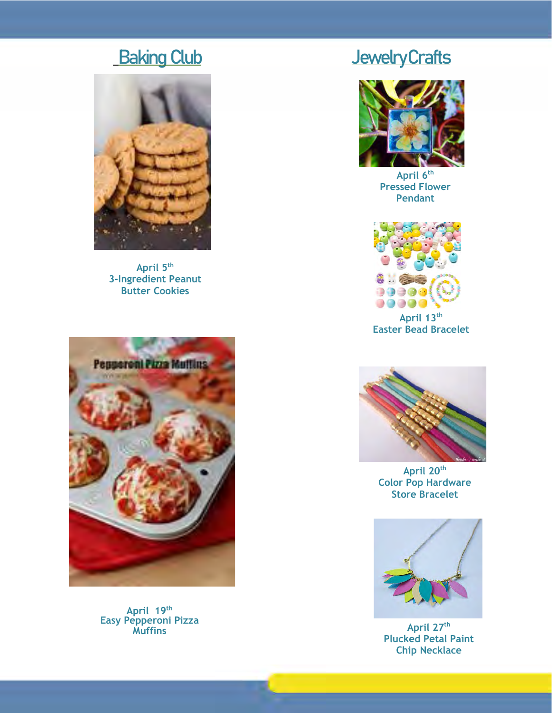

**April 5th 3-Ingredient Peanut Butter Cookies**



**April 19<sup>t</sup><sup>h</sup> Easy Pepperoni Pizza Muffins** 

# Baking Club Jewelry Crafts



**April 6th Pressed Flower Pendant**



**April 13th Easter Bead Bracelet**



**April 20th Color Pop Hardware Store Bracelet**



**April 27th Plucked Petal Paint Chip Necklace**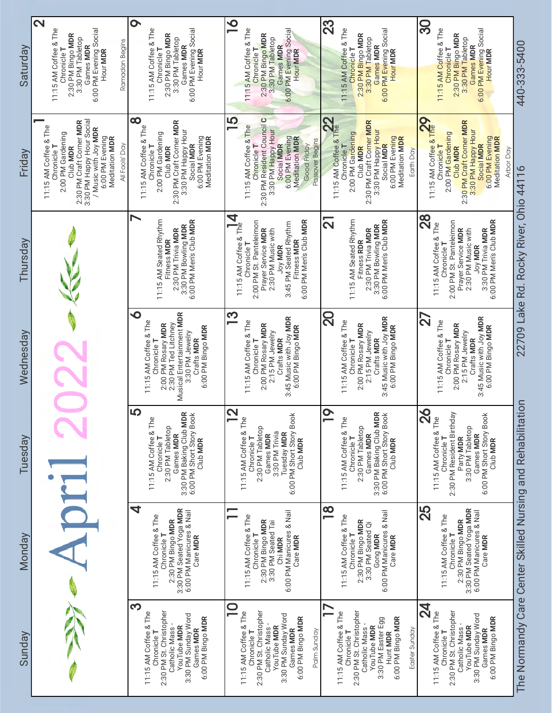| Saturday      | $\overline{\mathbf{C}}$<br>6:00 PM Evening Social<br>Hour MDR<br>11:15 AM Coffee & The<br>2:30 PM Bingo MDR<br>3:30 PM Tabletop<br>Ramadan Begins<br>Games MDR<br>Chronicle T                                        | $\bullet$<br>6:00 PM Evening Social<br>Hour MDR<br>11:15 AM Coffee & The<br>2:30 PM Bingo MDR<br>3:30 PM Tabletop<br>Games MDR<br>Chronicle T                                                    | $\overline{\mathsf{C}}$<br>6:00 PM Evening Social<br>Hour MDR<br>11:15 AM Coffee & The<br>2:30 PM Bingo MDR<br>3:30 PM Tabletop<br>Games MDR<br>Chronicle T                                   | 23<br>11:15 AM Coffee & The<br>6:00 PM Evening Social<br>Hour MDR<br>2:30 PM Bingo MDR<br>3:30 PM Tabletop<br>Games MDR<br>Chronicle T                                                                              | ႙ၟ<br>6:00 PM Evening Social<br>Hour MDR<br>11:15 AM Coffee & The<br>2:30 PM Bingo MDR<br>3:30 PM Tabletop<br>Games MDR<br>Chronicle T                                              | 440-333-5400                                                |
|---------------|----------------------------------------------------------------------------------------------------------------------------------------------------------------------------------------------------------------------|--------------------------------------------------------------------------------------------------------------------------------------------------------------------------------------------------|-----------------------------------------------------------------------------------------------------------------------------------------------------------------------------------------------|---------------------------------------------------------------------------------------------------------------------------------------------------------------------------------------------------------------------|-------------------------------------------------------------------------------------------------------------------------------------------------------------------------------------|-------------------------------------------------------------|
| Friday        | 2:30 PM Craft Corner MDR<br>3:30 PM Happy Hour Social<br>11:15 AM Coffee & The<br>/ Music with Joy MDR<br>2:00 PM Gardening<br>6:00 PM Evening<br><b>Meditation MDR</b><br>Chronicle T<br>All Fools' Day<br>Club MDR | $\infty$<br>2:30 PM Craft Corner MDR<br>11:15 AM Coffee & The<br>3:30 PM Happy Hour<br>2:00 PM Gardening<br>6:00 PM Evening<br>Meditation MDR<br>Social MDR<br>Chronicle T<br>Club MDR           | <u> (၃</u><br>2:30 PM Resident Council C<br>11:15 AM Coffee & The<br>3:30 PM Happy Hour<br>6:00 PM Evening<br>Meditation MDR<br>Passover Begins<br>Social MDR<br>Good Friday<br>Chronicle T   | $\mathbf{\Omega}$<br>2:30 PM Craft Corner MDR<br>11:15 AM Coffee & The<br>3:30 PM Happy Hour<br>2:00 PM Gardening<br>6:00 PM Evening<br><b>Meditation MDR</b><br>Social MDR<br>Chronicle T<br>Club MDR<br>Earth Day | 11:15 AM Coffee & The<br>2:30 PM Craft Corner MDR<br>3:30 PM Happy Hour<br>2:00 PM Gardening<br>6:00 PM Evening<br><b>Meditation MDR</b><br>Social MDR<br>Club MDR<br>Arbor Day     |                                                             |
| Thursday      |                                                                                                                                                                                                                      | $\blacktriangleright$<br>11:15 AM Seated Rhythm<br>6:00 PM Men's Club MDR<br>3:30 PM Bowling MDR<br>2:30 PM Trivia MDR<br>Fitness MDR                                                            | 4<br>6:00 PM Men's Club MDR<br>2:00 PM St. Panteleimon<br>3:45 PM Seated Rhythm<br>11:15 AM Coffee & The<br>2:30 PM Music with<br>Prayer Service MDR<br>Fitness MDR<br>Chronicle T<br>Joy MDR | <u>ត</u><br>11:15 AM Seated Rhythm<br>6:00 PM Men's Club MDR<br>3:30 PM Bowling MDR<br>2:30 PM Trivia MDR<br>Fitness RDR                                                                                            | 28<br>6:00 PM Men's Club MDR<br>2:00 PM St. Panteleimon<br>11:15 AM Coffee & The<br>2:30 PM Music with<br>3:30 PM Trivia MDR<br>Prayer Service MDR<br>Chronicle T<br><b>Joy MDR</b> | 22709 Lake Rd. Rocky River, Ohio 44116                      |
| Wednesday     |                                                                                                                                                                                                                      | $\overline{\mathbf{C}}$<br>Musical Entertainment MDR<br>11:15 AM Coffee & The<br>2:00 PM Rosary MDR<br>2:30 PM Ted Litchney<br>6:00 PM Bingo MDR<br>3:30 PM Jewelry<br>Crafts MDR<br>Chronicle T | <u>က</u><br>3:45 Music with Joy <b>MDR</b><br>6:00 PM Bingo <b>MDR</b><br>11:15 AM Coffee & The<br>2:00 PM Rosary MDR<br>2:15 PM Jewelry<br>Crafts MDR<br>Chronicle T                         | ${\mathcal{S}}$<br>3:45 Music with Joy MDR<br>11:15 AM Coffee & The<br>2:00 PM Rosary MDR<br>6:00 PM Bingo MDR<br>2:15 PM Jewelry<br>Crafts MDR<br>Chronicle T                                                      | 27<br>3:45 Music with Joy MDR<br>11:15 AM Coffee & The<br>2:00 PM Rosary MDR<br>6:00 PM Bingo MDR<br>2:15 PM Jewelry<br>Crafts MDR<br>Chronicle T                                   |                                                             |
| Tuesday       |                                                                                                                                                                                                                      | 5<br>3:30 PM Baking Club MDR<br>6:00 PM Short Story Book<br>11:15 AM Coffee & The<br>2:30 PM Tabletop<br>Games MDR<br>Chronicle T<br>Club MDR                                                    | 2<br>6:00 PM Short Story Book<br>11:15 AM Coffee & The<br>2:30 PM Tabletop<br>3:30 PM Trivia<br>Tuesday MDR<br>Games MDR<br>Chronicle T<br>Club MDR                                           | $\bullet$<br>3:30 PM Baking Club MDR<br>6:00 PM Short Story Book<br>11:15 AM Coffee & The<br>2:30 PM Tabletop<br>Games MDR<br>Chronicle T<br>Club MDR                                                               | 8<br>2:30 PM Resident Birthday<br>6:00 PM Short Story Book<br>11:15 AM Coffee & The<br>Party <b>MDR</b><br>3:30 PM Tabletop<br>Games MDR<br>Chronicle T<br>Club MDR                 | The Normandy Care Center Skilled Nursing and Rehabilitation |
| <b>Monday</b> | Apru                                                                                                                                                                                                                 | 4<br>3:30 PM Seated Yoga MDR<br>6:00 PM Manicures & Nail<br>11:15 AM Coffee & The<br>2:30 PM Bingo MDR<br>Chronicle T<br>Care MDR                                                                | 6:00 PM Manicures & Nail<br>11:15 AM Coffee & The<br>2:30 PM Bingo MDR<br>3:30 PM Seated Tai<br>Chronicle T<br>Care MDR<br>Chi MDR                                                            | $\infty$<br>6:00 PM Manicures & Nail<br>11:15 AM Coffee & The<br>2:30 PM Bingo MDR<br>3:30 PM Seated Qi<br>Chronicle T<br>Gong MDR<br>Care MDR                                                                      | 25<br>3:30 PM Seated Yoga MDR<br>6:00 PM Manicures & Nail<br>11:15 AM Coffee & The<br>2:30 PM Bingo MDR<br>Chronicle T<br>Care MDR                                                  |                                                             |
| Sunday        |                                                                                                                                                                                                                      | <u>က</u><br>2:30 PM St. Christopher<br>11:15 AM Coffee & The<br>3:30 PM Sunday Word<br>6:00 PM Bingo MDR<br>Catholic Mass-<br>YouTube MDR<br>Games MDR<br>Chronicle T                            | $\bullet$<br>2:30 PM St. Christopher<br>11:15 AM Coffee & The<br>3:30 PM Sunday Word<br>6:00 PM Bingo MDR<br>Catholic Mass-<br>YouTube MDR<br>Games MDR<br>Palm Sunday<br>Chronicle T         | 2:30 PM St. Christopher<br>11:15 AM Coffee & The<br>6:00 PM Bingo MDR<br>3:30 PM Easter Egg<br>Catholic Mass-<br>YouTube MDR<br>Easter Sunday<br>Chronicle T<br>Hunt MDR                                            | 24<br>2:30 PM St. Christopher<br>11:15 AM Coffee & The<br>3:30 PM Sunday Word<br>6:00 PM Bingo MDR<br>Catholic Mass-<br>YouTube MDR<br>Games MDR<br>Chronicle T                     |                                                             |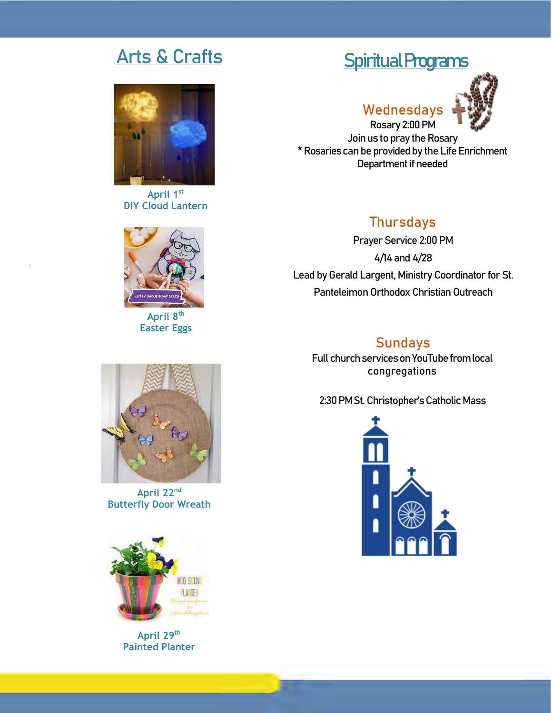

**April 1st DIY Cloud Lantern**

> **April 8th Easter Eggs**

t



### Wednesdays



Rosary 2:00 PM Join us to pray the Rosary \* Rosaries can be provided by the Life Enrichment Department if needed

### Thursdays

Prayer Service 2:00 PM 4/14 and 4/28 Lead by Gerald Largent, Ministry Coordinator for St. Panteleimon Orthodox Christian Outreach

### Sundays

Full church services on YouTube from local congregations

2:30 PM St. Christopher's Catholic Mass





**April 22nd Butterfly Door Wreath**



**April 29th Painted Planter**